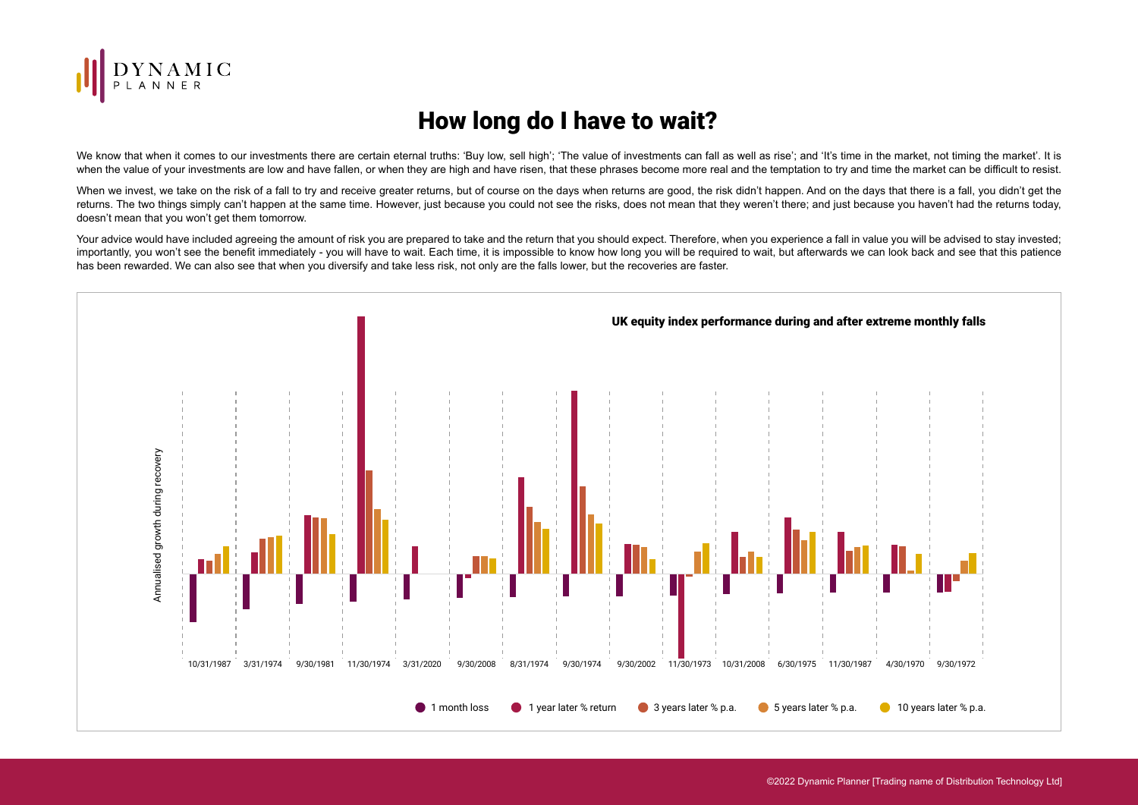

## How long do I have to wait?

We know that when it comes to our investments there are certain eternal truths: 'Buy low, sell high'; 'The value of investments can fall as well as rise'; and 'It's time in the market, not timing the market'. It is when the value of your investments are low and have fallen, or when they are high and have risen, that these phrases become more real and the temptation to try and time the market can be difficult to resist.

When we invest, we take on the risk of a fall to try and receive greater returns, but of course on the days when returns are good, the risk didn't happen. And on the days that there is a fall, you didn't get the returns. The two things simply can't happen at the same time. However, just because you could not see the risks, does not mean that they weren't there; and just because you haven't had the returns today, doesn't mean that you won't get them tomorrow.

Your advice would have included agreeing the amount of risk you are prepared to take and the return that you should expect. Therefore, when you experience a fall in value you will be advised to stay invested; importantly, you won't see the benefit immediately - you will have to wait. Each time, it is impossible to know how long you will be required to wait, but afterwards we can look back and see that this patience has been rewarded. We can also see that when you diversify and take less risk, not only are the falls lower, but the recoveries are faster.